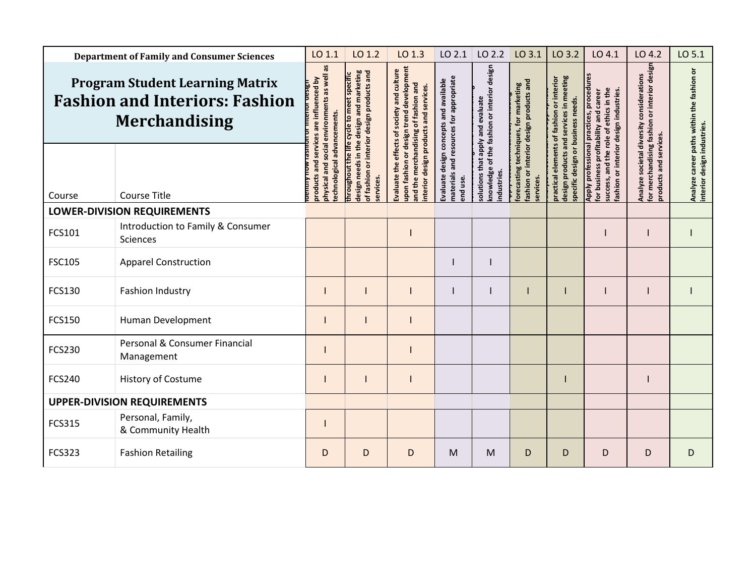| <b>Department of Family and Consumer Sciences</b>                                                       |                                                      | LO 1.1                                                                                        | LO 1.2                                                                                                                              | LO 1.3                                                                                                                                                      | LO 2.1                                                              | LO 2.2                                                                            | LO 3.1                                                                         | LO 3.2                                                                                              | LO 4.1                                                                                                                                                              | LO 4.2                                                                                                                 | LO 5.1                                                                   |
|---------------------------------------------------------------------------------------------------------|------------------------------------------------------|-----------------------------------------------------------------------------------------------|-------------------------------------------------------------------------------------------------------------------------------------|-------------------------------------------------------------------------------------------------------------------------------------------------------------|---------------------------------------------------------------------|-----------------------------------------------------------------------------------|--------------------------------------------------------------------------------|-----------------------------------------------------------------------------------------------------|---------------------------------------------------------------------------------------------------------------------------------------------------------------------|------------------------------------------------------------------------------------------------------------------------|--------------------------------------------------------------------------|
| <b>Program Student Learning Matrix</b><br><b>Fashion and Interiors: Fashion</b><br><b>Merchandising</b> |                                                      | as<br>social environments as well<br>services are influenced by<br>echnological advancements. | design needs in the design and marketing<br>of fashion or interior design products and<br>hroughout the life cycle to meet specific | upon fashion or design trend development<br>effects of society and culture<br>and the merchandising of fashion and<br>nterior design products and services. | resources for appropriate<br>Evaluate design concepts and available | nowledge of the fashion or interior design<br>evaluate<br>and<br>Nad<br>ā<br>that | ashion or interior design products and<br>orecasting techniques, for marketing | and services in meeting<br>practical elements of fashion or interior<br>business needs.<br>products | Apply professional practices, procedures<br>success, and the role of ethics in the<br>ashion or interior design industries.<br>or business profitability and career | interior desigr<br>Analyze societal diversity considerations<br>ŏ<br>or merchandising fashion<br>products and services | Analyze career paths within the fashion or<br>nterior design industries. |
| Course                                                                                                  | <b>Course Title</b>                                  | products and<br>ohysical and                                                                  | ervices                                                                                                                             | Evaluate the                                                                                                                                                | naterials and<br>ind use.                                           | ndustries<br>olutions                                                             | ervices.                                                                       | specific design or<br>design                                                                        |                                                                                                                                                                     |                                                                                                                        |                                                                          |
| LOWER-DIVISION REQUIREMENTS                                                                             |                                                      |                                                                                               |                                                                                                                                     |                                                                                                                                                             |                                                                     |                                                                                   |                                                                                |                                                                                                     |                                                                                                                                                                     |                                                                                                                        |                                                                          |
| FCS101                                                                                                  | Introduction to Family & Consumer<br><b>Sciences</b> |                                                                                               |                                                                                                                                     |                                                                                                                                                             |                                                                     |                                                                                   |                                                                                |                                                                                                     |                                                                                                                                                                     |                                                                                                                        |                                                                          |
| <b>FSC105</b>                                                                                           | <b>Apparel Construction</b>                          |                                                                                               |                                                                                                                                     |                                                                                                                                                             |                                                                     |                                                                                   |                                                                                |                                                                                                     |                                                                                                                                                                     |                                                                                                                        |                                                                          |
| FCS130                                                                                                  | Fashion Industry                                     |                                                                                               |                                                                                                                                     |                                                                                                                                                             |                                                                     |                                                                                   |                                                                                |                                                                                                     |                                                                                                                                                                     |                                                                                                                        |                                                                          |
| <b>FCS150</b>                                                                                           | Human Development                                    |                                                                                               |                                                                                                                                     |                                                                                                                                                             |                                                                     |                                                                                   |                                                                                |                                                                                                     |                                                                                                                                                                     |                                                                                                                        |                                                                          |
| <b>FCS230</b>                                                                                           | Personal & Consumer Financial<br>Management          |                                                                                               |                                                                                                                                     |                                                                                                                                                             |                                                                     |                                                                                   |                                                                                |                                                                                                     |                                                                                                                                                                     |                                                                                                                        |                                                                          |
| <b>FCS240</b>                                                                                           | <b>History of Costume</b>                            |                                                                                               |                                                                                                                                     |                                                                                                                                                             |                                                                     |                                                                                   |                                                                                |                                                                                                     |                                                                                                                                                                     |                                                                                                                        |                                                                          |
| <b>UPPER-DIVISION REQUIREMENTS</b>                                                                      |                                                      |                                                                                               |                                                                                                                                     |                                                                                                                                                             |                                                                     |                                                                                   |                                                                                |                                                                                                     |                                                                                                                                                                     |                                                                                                                        |                                                                          |
| <b>FCS315</b>                                                                                           | Personal, Family,<br>& Community Health              |                                                                                               |                                                                                                                                     |                                                                                                                                                             |                                                                     |                                                                                   |                                                                                |                                                                                                     |                                                                                                                                                                     |                                                                                                                        |                                                                          |
| <b>FCS323</b>                                                                                           | <b>Fashion Retailing</b>                             | D                                                                                             | D                                                                                                                                   | D                                                                                                                                                           | M                                                                   | M                                                                                 | D                                                                              | D                                                                                                   | D                                                                                                                                                                   | D                                                                                                                      | D                                                                        |